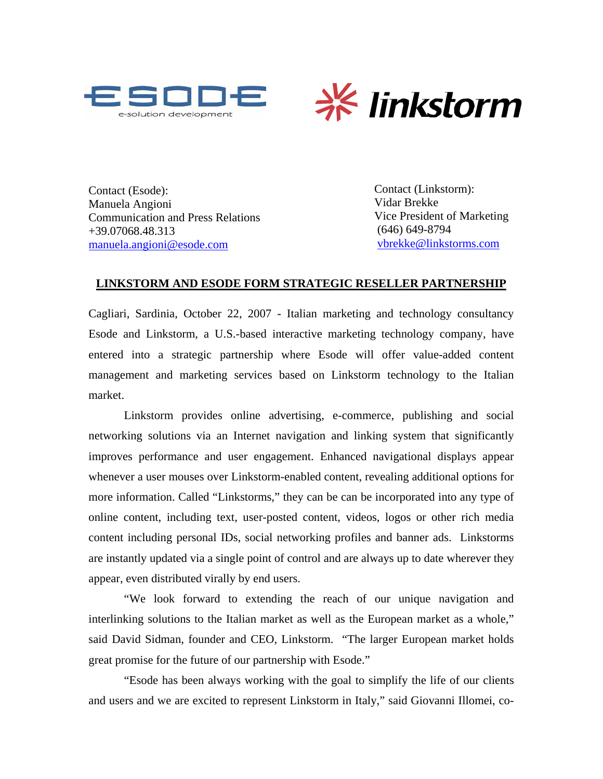



Contact (Esode): Contact (Linkstorm): Manuela Angioni Communication and Press Relations +39.07068.48.313 [manuela.angioni@esode.com](mailto:manuela.angioni@esode.com)

Vidar Brekke Vice President of Marketing (646) 649-8794 [vbrekke@linkstorms.com](mailto:vbrekke@linkstorms.com)

## **LINKSTORM AND ESODE FORM STRATEGIC RESELLER PARTNERSHIP**

Cagliari, Sardinia, October 22, 2007 - Italian marketing and technology consultancy Esode and Linkstorm, a U.S.-based interactive marketing technology company, have entered into a strategic partnership where Esode will offer value-added content management and marketing services based on Linkstorm technology to the Italian market.

Linkstorm provides online advertising, e-commerce, publishing and social networking solutions via an Internet navigation and linking system that significantly improves performance and user engagement. Enhanced navigational displays appear whenever a user mouses over Linkstorm-enabled content, revealing additional options for more information. Called "Linkstorms," they can be can be incorporated into any type of online content, including text, user-posted content, videos, logos or other rich media content including personal IDs, social networking profiles and banner ads. Linkstorms are instantly updated via a single point of control and are always up to date wherever they appear, even distributed virally by end users.

"We look forward to extending the reach of our unique navigation and interlinking solutions to the Italian market as well as the European market as a whole," said David Sidman, founder and CEO, Linkstorm. "The larger European market holds great promise for the future of our partnership with Esode."

"Esode has been always working with the goal to simplify the life of our clients and users and we are excited to represent Linkstorm in Italy," said Giovanni Illomei, co-